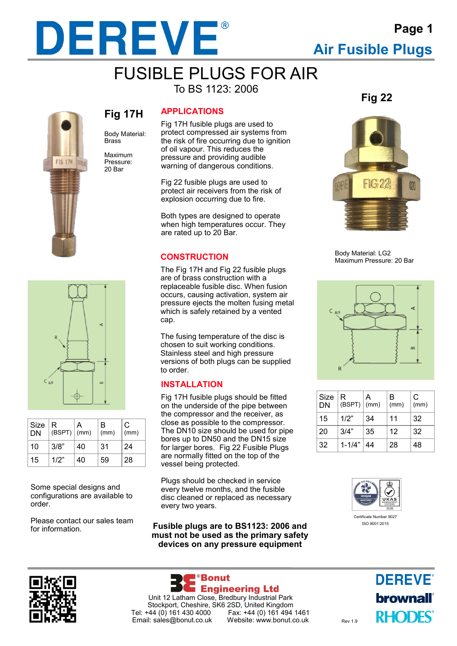

### FUSIBLE PLUGS FOR AIR To BS 1123: 2006



Body Material: **Fig 17H**

Maximum Pressure: 20 Bar

**Brace** 





| Size<br><b>DN</b> | R<br>$(BSPT)$ (mm) | А  | B<br>(mm) | C<br>(mm) |
|-------------------|--------------------|----|-----------|-----------|
| 10                | 3/8"               | 40 | 31        | 24        |
| 15                | 1/2"               | 40 | 59        | 28        |

Some special designs and configurations are available to order.

Please contact our sales team for information.

#### **APPLICATIONS**

Fig 17H fusible plugs are used to protect compressed air systems from the risk of fire occurring due to ignition of oil vapour. This reduces the pressure and providing audible warning of dangerous conditions.

Fig 22 fusible plugs are used to protect air receivers from the risk of explosion occurring due to fire.

Both types are designed to operate when high temperatures occur. They are rated up to 20 Bar.

#### **CONSTRUCTION**

The Fig 17H and Fig 22 fusible plugs are of brass construction with a replaceable fusible disc. When fusion occurs, causing activation, system air pressure ejects the molten fusing metal which is safely retained by a vented cap.

The fusing temperature of the disc is chosen to suit working conditions. Stainless steel and high pressure versions of both plugs can be supplied to order.

#### **INSTALLATION**

Fig 17H fusible plugs should be fitted on the underside of the pipe between the compressor and the receiver, as close as possible to the compressor. The DN10 size should be used for pipe bores up to DN50 and the DN15 size for larger bores. Fig 22 Fusible Plugs are normally fitted on the top of the vessel being protected.

Plugs should be checked in service every twelve months, and the fusible disc cleaned or replaced as necessary every two years.

**Fusible plugs are to BS1123: 2006 and must not be used as the primary safety devices on any pressure equipment**

**Fig 22**



Body Material: LG2 Maximum Pressure: 20 Bar



| Size<br>DN | ∣R.<br>(BSPT) | А<br>(mm) | в<br>(mm) | C<br>(mm) |
|------------|---------------|-----------|-----------|-----------|
| 15         | 1/2"          | 34        | 11        | 32        |
| 20         | 3/4"          | 35        | 12        | 32        |
| 32         | $1 - 1/4"$    | 44        | 28        | 48        |





**Engineering Ltd** Unit 12 Latham Close, Bredbury Industrial Park Stockport, Cheshire, SK6 2SD, United Kingdom<br>Tel: +44 (0) 161 430 4000 Fax: +44 (0) 161 494 Email: sales@bonut.co.uk Website: www.bonut.co.uk Rev 1.9

<sup>®</sup>Bonut

Fax: +44 (0) 161 494 1461<br>Website: www.bonut.co.uk